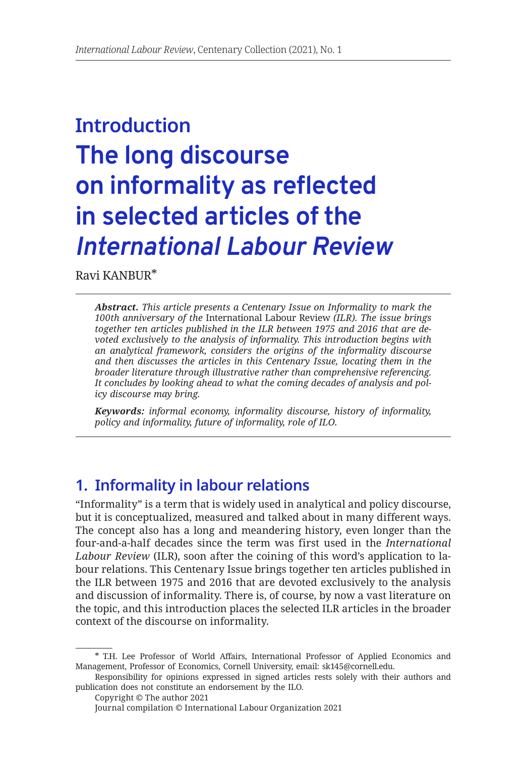# **Introduction The long discourse on informality as reflected in selected articles of the**  *International Labour Review*

[Ravi KANBUR](https://www.kanbur.dyson.cornell.edu/)\*

*Abstract. This article presents a Centenary Issue on Informality to mark the 100th anniversary of the* International Labour Review *(ILR). The issue brings together ten articles published in the ILR between 1975 and 2016 that are devoted exclusively to the analysis of informality. This introduction begins with an analytical framework, considers the origins of the informality discourse and then discusses the articles in this Centenary Issue, locating them in the broader literature through illustrative rather than comprehensive referencing. It concludes by looking ahead to what the coming decades of analysis and policy discourse may bring.*

*Keywords: informal economy, informality discourse, history of informality, policy and informality, future of informality, role of ILO.*

# **1. Informality in labour relations**

"Informality" is a term that is widely used in analytical and policy discourse, but it is conceptualized, measured and talked about in many different ways. The concept also has a long and meandering history, even longer than the four-and-a-half decades since the term was first used in the *International Labour Review* (ILR), soon after the coining of this word's application to labour relations. This Centenary Issue brings together ten articles published in the ILR between 1975 and 2016 that are devoted exclusively to the analysis and discussion of informality. There is, of course, by now a vast literature on the topic, and this introduction places the selected ILR articles in the broader context of the discourse on informality.

<sup>\*</sup> T.H. Lee Professor of World Affairs, International Professor of Applied Economics and Management, Professor of Economics, Cornell University, email: sk145@cornell.edu.

Responsibility for opinions expressed in signed articles rests solely with their authors and publication does not constitute an endorsement by the ILO.

Copyright © The author 2021

Journal compilation © International Labour Organization 2021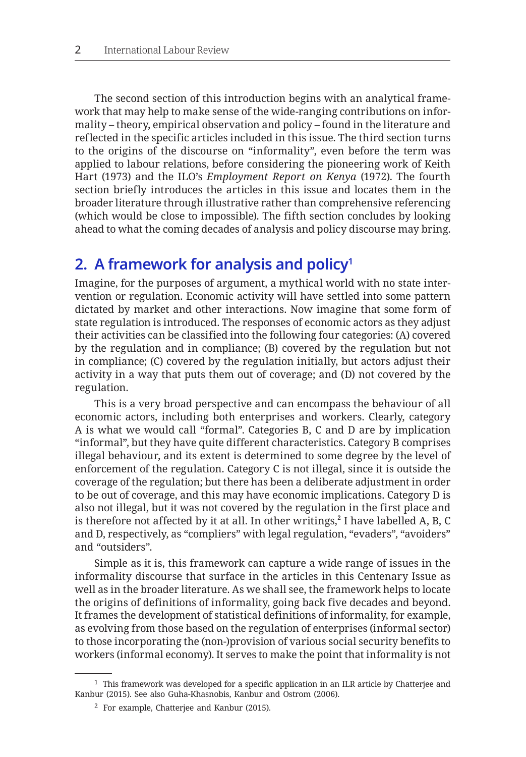The second section of this introduction begins with an analytical framework that may help to make sense of the wide-ranging contributions on informality – theory, empirical observation and policy – found in the literature and reflected in the specific articles included in this issue. The third section turns to the origins of the discourse on "informality", even before the term was applied to labour relations, before considering the pioneering work of Keith Hart (1973) and the ILO's *Employment Report on Kenya* (1972). The fourth section briefly introduces the articles in this issue and locates them in the broader literature through illustrative rather than comprehensive referencing (which would be close to impossible). The fifth section concludes by looking ahead to what the coming decades of analysis and policy discourse may bring.

## **2. A framework for analysis and policy1**

Imagine, for the purposes of argument, a mythical world with no state intervention or regulation. Economic activity will have settled into some pattern dictated by market and other interactions. Now imagine that some form of state regulation is introduced. The responses of economic actors as they adjust their activities can be classified into the following four categories: (A) covered by the regulation and in compliance; (B) covered by the regulation but not in compliance; (C) covered by the regulation initially, but actors adjust their activity in a way that puts them out of coverage; and (D) not covered by the regulation.

This is a very broad perspective and can encompass the behaviour of all economic actors, including both enterprises and workers. Clearly, category A is what we would call "formal". Categories B, C and D are by implication "informal", but they have quite different characteristics. Category B comprises illegal behaviour, and its extent is determined to some degree by the level of enforcement of the regulation. Category C is not illegal, since it is outside the coverage of the regulation; but there has been a deliberate adjustment in order to be out of coverage, and this may have economic implications. Category D is also not illegal, but it was not covered by the regulation in the first place and is therefore not affected by it at all. In other writings,**<sup>2</sup>** I have labelled A, B, C and D, respectively, as "compliers" with legal regulation, "evaders", "avoiders" and "outsiders".

Simple as it is, this framework can capture a wide range of issues in the informality discourse that surface in the articles in this Centenary Issue as well as in the broader literature. As we shall see, the framework helps to locate the origins of definitions of informality, going back five decades and beyond. It frames the development of statistical definitions of informality, for example, as evolving from those based on the regulation of enterprises (informal sector) to those incorporating the (non-)provision of various social security benefits to workers (informal economy). It serves to make the point that informality is not

<sup>1</sup> This framework was developed for a specific application in an ILR article by Chatterjee and Kanbur (2015). See also Guha-Khasnobis, Kanbur and Ostrom (2006).

 $2$  For example, Chatteriee and Kanbur (2015).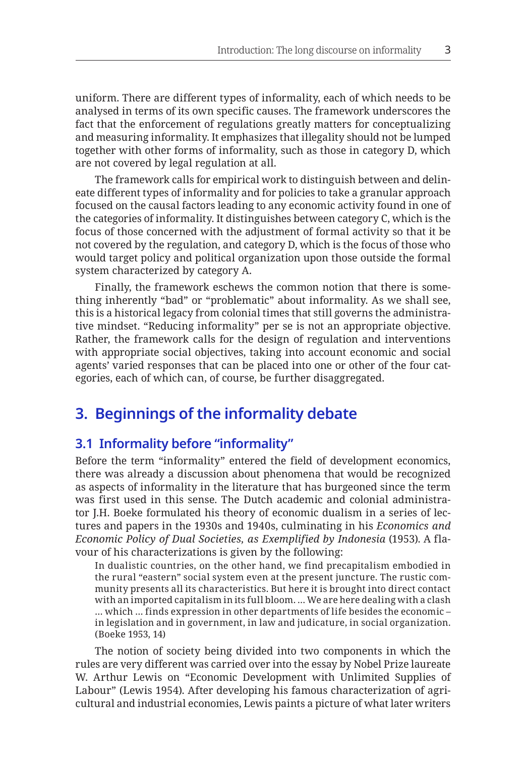uniform. There are different types of informality, each of which needs to be analysed in terms of its own specific causes. The framework underscores the fact that the enforcement of regulations greatly matters for conceptualizing and measuring informality. It emphasizes that illegality should not be lumped together with other forms of informality, such as those in category D, which are not covered by legal regulation at all.

The framework calls for empirical work to distinguish between and delineate different types of informality and for policies to take a granular approach focused on the causal factors leading to any economic activity found in one of the categories of informality. It distinguishes between category C, which is the focus of those concerned with the adjustment of formal activity so that it be not covered by the regulation, and category D, which is the focus of those who would target policy and political organization upon those outside the formal system characterized by category A.

Finally, the framework eschews the common notion that there is something inherently "bad" or "problematic" about informality. As we shall see, this is a historical legacy from colonial times that still governs the administrative mindset. "Reducing informality" per se is not an appropriate objective. Rather, the framework calls for the design of regulation and interventions with appropriate social objectives, taking into account economic and social agents' varied responses that can be placed into one or other of the four categories, each of which can, of course, be further disaggregated.

## **3. Beginnings of the informality debate**

### **3.1 Informality before "informality"**

Before the term "informality" entered the field of development economics, there was already a discussion about phenomena that would be recognized as aspects of informality in the literature that has burgeoned since the term was first used in this sense. The Dutch academic and colonial administrator J.H. Boeke formulated his theory of economic dualism in a series of lectures and papers in the 1930s and 1940s, culminating in his *Economics and Economic Policy of Dual Societies, as Exemplified by Indonesia* (1953). A flavour of his characterizations is given by the following:

In dualistic countries, on the other hand, we find precapitalism embodied in the rural "eastern" social system even at the present juncture. The rustic community presents all its characteristics. But here it is brought into direct contact with an imported capitalism in its full bloom. … We are here dealing with a clash … which … finds expression in other departments of life besides the economic – in legislation and in government, in law and judicature, in social organization. (Boeke 1953, 14)

The notion of society being divided into two components in which the rules are very different was carried over into the essay by Nobel Prize laureate W. Arthur Lewis on "Economic Development with Unlimited Supplies of Labour" (Lewis 1954). After developing his famous characterization of agricultural and industrial economies, Lewis paints a picture of what later writers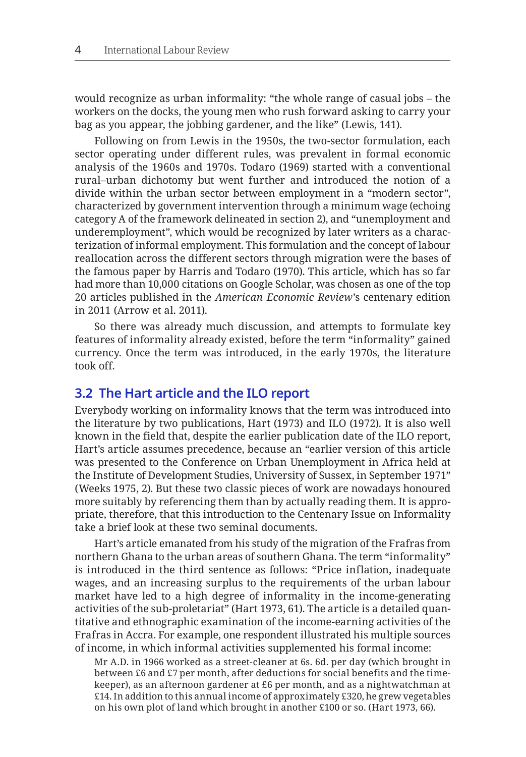would recognize as urban informality: "the whole range of casual jobs – the workers on the docks, the young men who rush forward asking to carry your bag as you appear, the jobbing gardener, and the like" (Lewis, 141).

Following on from Lewis in the 1950s, the two-sector formulation, each sector operating under different rules, was prevalent in formal economic analysis of the 1960s and 1970s. Todaro (1969) started with a conventional rural–urban dichotomy but went further and introduced the notion of a divide within the urban sector between employment in a "modern sector", characterized by government intervention through a minimum wage (echoing category A of the framework delineated in section 2), and "unemployment and underemployment", which would be recognized by later writers as a characterization of informal employment. This formulation and the concept of labour reallocation across the different sectors through migration were the bases of the famous paper by Harris and Todaro (1970). This article, which has so far had more than 10,000 citations on Google Scholar, was chosen as one of the top 20 articles published in the *American Economic Review*'s centenary edition in 2011 (Arrow et al. 2011).

So there was already much discussion, and attempts to formulate key features of informality already existed, before the term "informality" gained currency. Once the term was introduced, in the early 1970s, the literature took off.

#### **3.2 The Hart article and the ILO report**

Everybody working on informality knows that the term was introduced into the literature by two publications, Hart (1973) and ILO (1972). It is also well known in the field that, despite the earlier publication date of the ILO report, Hart's article assumes precedence, because an "earlier version of this article was presented to the Conference on Urban Unemployment in Africa held at the Institute of Development Studies, University of Sussex, in September 1971" (Weeks 1975, 2). But these two classic pieces of work are nowadays honoured more suitably by referencing them than by actually reading them. It is appropriate, therefore, that this introduction to the Centenary Issue on Informality take a brief look at these two seminal documents.

Hart's article emanated from his study of the migration of the Frafras from northern Ghana to the urban areas of southern Ghana. The term "informality" is introduced in the third sentence as follows: "Price inflation, inadequate wages, and an increasing surplus to the requirements of the urban labour market have led to a high degree of informality in the income-generating activities of the sub-proletariat" (Hart 1973, 61). The article is a detailed quantitative and ethnographic examination of the income-earning activities of the Frafras in Accra. For example, one respondent illustrated his multiple sources of income, in which informal activities supplemented his formal income:

Mr A.D. in 1966 worked as a street-cleaner at 6s. 6d. per day (which brought in between £6 and £7 per month, after deductions for social benefits and the timekeeper), as an afternoon gardener at £6 per month, and as a nightwatchman at £14. In addition to this annual income of approximately £320, he grew vegetables on his own plot of land which brought in another £100 or so. (Hart 1973, 66).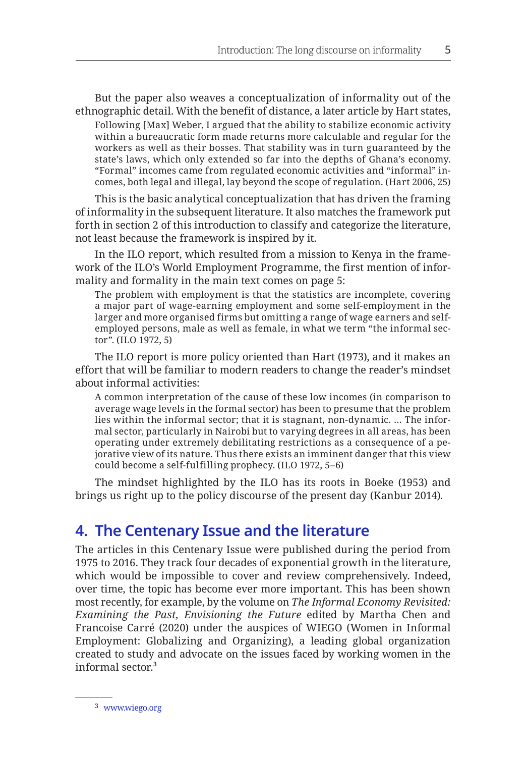But the paper also weaves a conceptualization of informality out of the ethnographic detail. With the benefit of distance, a later article by Hart states, Following [Max] Weber, I argued that the ability to stabilize economic activity within a bureaucratic form made returns more calculable and regular for the workers as well as their bosses. That stability was in turn guaranteed by the state's laws, which only extended so far into the depths of Ghana's economy. "Formal" incomes came from regulated economic activities and "informal" incomes, both legal and illegal, lay beyond the scope of regulation. (Hart 2006, 25)

This is the basic analytical conceptualization that has driven the framing of informality in the subsequent literature. It also matches the framework put forth in section 2 of this introduction to classify and categorize the literature, not least because the framework is inspired by it.

In the ILO report, which resulted from a mission to Kenya in the framework of the ILO's World Employment Programme, the first mention of informality and formality in the main text comes on page 5:

The problem with employment is that the statistics are incomplete, covering a major part of wage-earning employment and some self-employment in the larger and more organised firms but omitting a range of wage earners and selfemployed persons, male as well as female, in what we term "the informal sector". (ILO 1972, 5)

The ILO report is more policy oriented than Hart (1973), and it makes an effort that will be familiar to modern readers to change the reader's mindset about informal activities:

A common interpretation of the cause of these low incomes (in comparison to average wage levels in the formal sector) has been to presume that the problem lies within the informal sector; that it is stagnant, non-dynamic. … The informal sector, particularly in Nairobi but to varying degrees in all areas, has been operating under extremely debilitating restrictions as a consequence of a pejorative view of its nature. Thus there exists an imminent danger that this view could become a self-fulfilling prophecy. (ILO 1972, 5–6)

The mindset highlighted by the ILO has its roots in Boeke (1953) and brings us right up to the policy discourse of the present day (Kanbur 2014).

## **4. The Centenary Issue and the literature**

The articles in this Centenary Issue were published during the period from 1975 to 2016. They track four decades of exponential growth in the literature, which would be impossible to cover and review comprehensively. Indeed, over time, the topic has become ever more important. This has been shown most recently, for example, by the volume on *The Informal Economy Revisited: Examining the Past, Envisioning the Future* edited by Martha Chen and Francoise Carré (2020) under the auspices of WIEGO (Women in Informal Employment: Globalizing and Organizing), a leading global organization created to study and advocate on the issues faced by working women in the informal sector.**<sup>3</sup>**

<sup>3</sup> <www.wiego.org>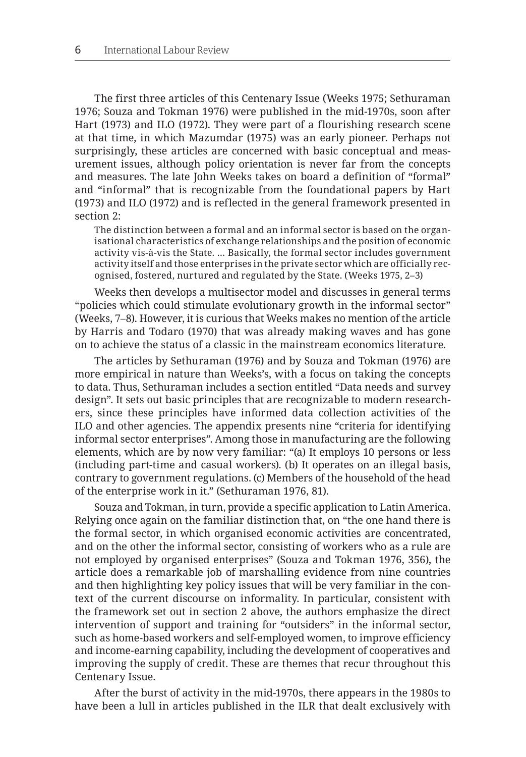The first three articles of this Centenary Issue (Weeks 1975; Sethuraman 1976; Souza and Tokman 1976) were published in the mid-1970s, soon after Hart (1973) and ILO (1972). They were part of a flourishing research scene at that time, in which Mazumdar (1975) was an early pioneer. Perhaps not surprisingly, these articles are concerned with basic conceptual and measurement issues, although policy orientation is never far from the concepts and measures. The late John Weeks takes on board a definition of "formal" and "informal" that is recognizable from the foundational papers by Hart (1973) and ILO (1972) and is reflected in the general framework presented in section 2:

The distinction between a formal and an informal sector is based on the organisational characteristics of exchange relationships and the position of economic activity vis-à-vis the State. … Basically, the formal sector includes government activity itself and those enterprises in the private sector which are officially recognised, fostered, nurtured and regulated by the State. (Weeks 1975, 2–3)

Weeks then develops a multisector model and discusses in general terms "policies which could stimulate evolutionary growth in the informal sector" (Weeks, 7–8). However, it is curious that Weeks makes no mention of the article by Harris and Todaro (1970) that was already making waves and has gone on to achieve the status of a classic in the mainstream economics literature.

The articles by Sethuraman (1976) and by Souza and Tokman (1976) are more empirical in nature than Weeks's, with a focus on taking the concepts to data. Thus, Sethuraman includes a section entitled "Data needs and survey design". It sets out basic principles that are recognizable to modern researchers, since these principles have informed data collection activities of the ILO and other agencies. The appendix presents nine "criteria for identifying informal sector enterprises". Among those in manufacturing are the following elements, which are by now very familiar: "(a) It employs 10 persons or less (including part-time and casual workers). (b) It operates on an illegal basis, contrary to government regulations. (c) Members of the household of the head of the enterprise work in it." (Sethuraman 1976, 81).

Souza and Tokman, in turn, provide a specific application to Latin America. Relying once again on the familiar distinction that, on "the one hand there is the formal sector, in which organised economic activities are concentrated, and on the other the informal sector, consisting of workers who as a rule are not employed by organised enterprises" (Souza and Tokman 1976, 356), the article does a remarkable job of marshalling evidence from nine countries and then highlighting key policy issues that will be very familiar in the context of the current discourse on informality. In particular, consistent with the framework set out in section 2 above, the authors emphasize the direct intervention of support and training for "outsiders" in the informal sector, such as home-based workers and self-employed women, to improve efficiency and income-earning capability, including the development of cooperatives and improving the supply of credit. These are themes that recur throughout this Centenary Issue.

After the burst of activity in the mid-1970s, there appears in the 1980s to have been a lull in articles published in the ILR that dealt exclusively with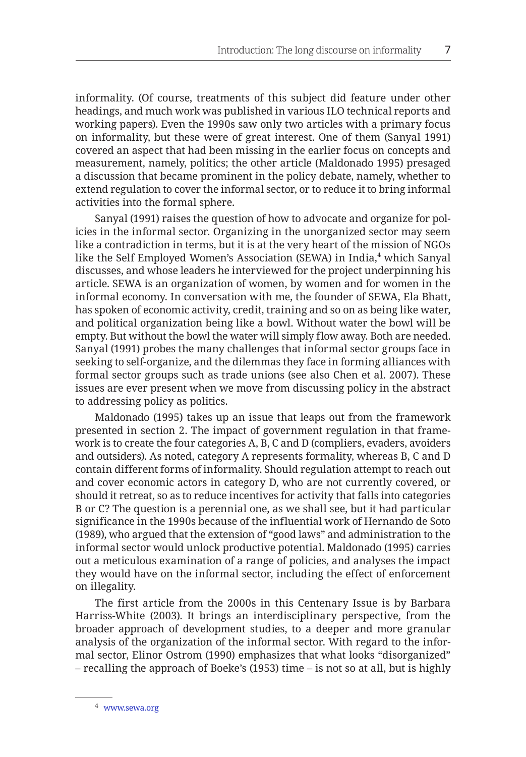informality. (Of course, treatments of this subject did feature under other headings, and much work was published in various ILO technical reports and working papers). Even the 1990s saw only two articles with a primary focus on informality, but these were of great interest. One of them (Sanyal 1991) covered an aspect that had been missing in the earlier focus on concepts and measurement, namely, politics; the other article (Maldonado 1995) presaged a discussion that became prominent in the policy debate, namely, whether to extend regulation to cover the informal sector, or to reduce it to bring informal activities into the formal sphere.

Sanyal (1991) raises the question of how to advocate and organize for policies in the informal sector. Organizing in the unorganized sector may seem like a contradiction in terms, but it is at the very heart of the mission of NGOs like the Self Employed Women's Association (SEWA) in India,**<sup>4</sup>** which Sanyal discusses, and whose leaders he interviewed for the project underpinning his article. SEWA is an organization of women, by women and for women in the informal economy. In conversation with me, the founder of SEWA, Ela Bhatt, has spoken of economic activity, credit, training and so on as being like water, and political organization being like a bowl. Without water the bowl will be empty. But without the bowl the water will simply flow away. Both are needed. Sanyal (1991) probes the many challenges that informal sector groups face in seeking to self-organize, and the dilemmas they face in forming alliances with formal sector groups such as trade unions (see also Chen et al. 2007). These issues are ever present when we move from discussing policy in the abstract to addressing policy as politics.

Maldonado (1995) takes up an issue that leaps out from the framework presented in section 2. The impact of government regulation in that framework is to create the four categories A, B, C and D (compliers, evaders, avoiders and outsiders). As noted, category A represents formality, whereas B, C and D contain different forms of informality. Should regulation attempt to reach out and cover economic actors in category D, who are not currently covered, or should it retreat, so as to reduce incentives for activity that falls into categories B or C? The question is a perennial one, as we shall see, but it had particular significance in the 1990s because of the influential work of Hernando de Soto (1989), who argued that the extension of "good laws" and administration to the informal sector would unlock productive potential. Maldonado (1995) carries out a meticulous examination of a range of policies, and analyses the impact they would have on the informal sector, including the effect of enforcement on illegality.

The first article from the 2000s in this Centenary Issue is by Barbara Harriss-White (2003). It brings an interdisciplinary perspective, from the broader approach of development studies, to a deeper and more granular analysis of the organization of the informal sector. With regard to the informal sector, Elinor Ostrom (1990) emphasizes that what looks "disorganized" – recalling the approach of Boeke's (1953) time – is not so at all, but is highly

<sup>4</sup> <www.sewa.org>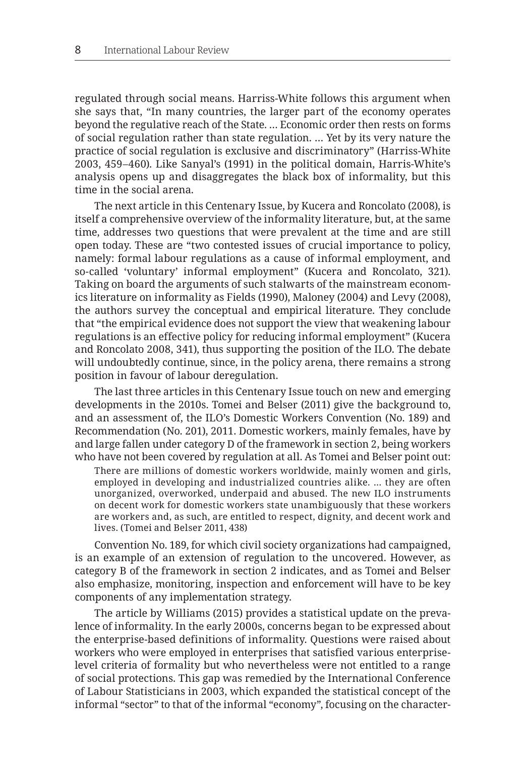regulated through social means. Harriss-White follows this argument when she says that, "In many countries, the larger part of the economy operates beyond the regulative reach of the State. … Economic order then rests on forms of social regulation rather than state regulation. … Yet by its very nature the practice of social regulation is exclusive and discriminatory" (Harriss-White 2003, 459–460). Like Sanyal's (1991) in the political domain, Harris-White's analysis opens up and disaggregates the black box of informality, but this time in the social arena.

The next article in this Centenary Issue, by Kucera and Roncolato (2008), is itself a comprehensive overview of the informality literature, but, at the same time, addresses two questions that were prevalent at the time and are still open today. These are "two contested issues of crucial importance to policy, namely: formal labour regulations as a cause of informal employment, and so-called 'voluntary' informal employment" (Kucera and Roncolato, 321). Taking on board the arguments of such stalwarts of the mainstream economics literature on informality as Fields (1990), Maloney (2004) and Levy (2008), the authors survey the conceptual and empirical literature. They conclude that "the empirical evidence does not support the view that weakening labour regulations is an effective policy for reducing informal employment" (Kucera and Roncolato 2008, 341), thus supporting the position of the ILO. The debate will undoubtedly continue, since, in the policy arena, there remains a strong position in favour of labour deregulation.

The last three articles in this Centenary Issue touch on new and emerging developments in the 2010s. Tomei and Belser (2011) give the background to, and an assessment of, the ILO's Domestic Workers Convention (No. 189) and Recommendation (No. 201), 2011. Domestic workers, mainly females, have by and large fallen under category D of the framework in section 2, being workers who have not been covered by regulation at all. As Tomei and Belser point out:

There are millions of domestic workers worldwide, mainly women and girls, employed in developing and industrialized countries alike. … they are often unorganized, overworked, underpaid and abused. The new ILO instruments on decent work for domestic workers state unambiguously that these workers are workers and, as such, are entitled to respect, dignity, and decent work and lives. (Tomei and Belser 2011, 438)

Convention No. 189, for which civil society organizations had campaigned, is an example of an extension of regulation to the uncovered. However, as category B of the framework in section 2 indicates, and as Tomei and Belser also emphasize, monitoring, inspection and enforcement will have to be key components of any implementation strategy.

The article by Williams (2015) provides a statistical update on the prevalence of informality. In the early 2000s, concerns began to be expressed about the enterprise-based definitions of informality. Questions were raised about workers who were employed in enterprises that satisfied various enterpriselevel criteria of formality but who nevertheless were not entitled to a range of social protections. This gap was remedied by the International Conference of Labour Statisticians in 2003, which expanded the statistical concept of the informal "sector" to that of the informal "economy", focusing on the character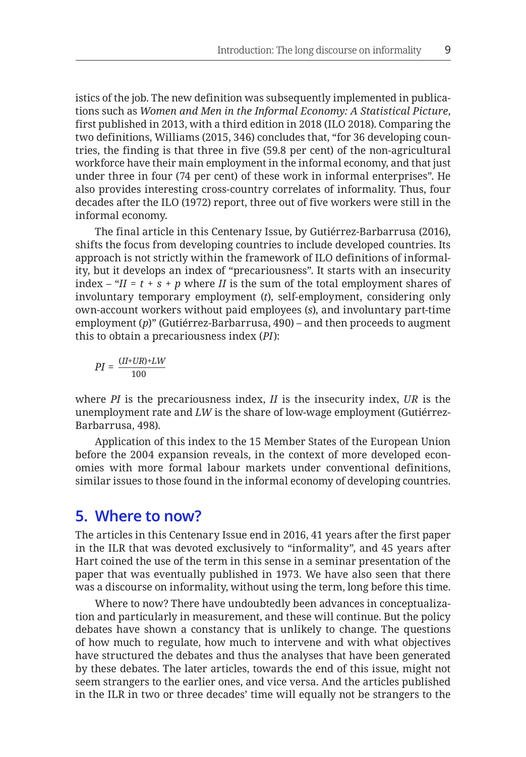istics of the job. The new definition was subsequently implemented in publications such as *Women and Men in the Informal Economy: A Statistical Picture*, first published in 2013, with a third edition in 2018 (ILO 2018). Comparing the two definitions, Williams (2015, 346) concludes that, "for 36 developing countries, the finding is that three in five (59.8 per cent) of the non-agricultural workforce have their main employment in the informal economy, and that just under three in four (74 per cent) of these work in informal enterprises". He also provides interesting cross-country correlates of informality. Thus, four decades after the ILO (1972) report, three out of five workers were still in the informal economy.

The final article in this Centenary Issue, by Gutiérrez-Barbarrusa (2016), shifts the focus from developing countries to include developed countries. Its approach is not strictly within the framework of ILO definitions of informality, but it develops an index of "precariousness". It starts with an insecurity index – " $II = t + s + p$  where *II* is the sum of the total employment shares of involuntary temporary employment (*t*), self-employment, considering only own-account workers without paid employees (*s*), and involuntary part-time employment (*p*)" (Gutiérrez-Barbarrusa, 490) – and then proceeds to augment this to obtain a precariousness index (*PI*):

$$
PI = \frac{(II+UR)+LW}{100}
$$

where *PI* is the precariousness index, *II* is the insecurity index, *UR* is the unemployment rate and *LW* is the share of low-wage employment (Gutiérrez-Barbarrusa, 498).

Application of this index to the 15 Member States of the European Union before the 2004 expansion reveals, in the context of more developed economies with more formal labour markets under conventional definitions, similar issues to those found in the informal economy of developing countries.

### **5. Where to now?**

The articles in this Centenary Issue end in 2016, 41 years after the first paper in the ILR that was devoted exclusively to "informality", and 45 years after Hart coined the use of the term in this sense in a seminar presentation of the paper that was eventually published in 1973. We have also seen that there was a discourse on informality, without using the term, long before this time.

Where to now? There have undoubtedly been advances in conceptualization and particularly in measurement, and these will continue. But the policy debates have shown a constancy that is unlikely to change. The questions of how much to regulate, how much to intervene and with what objectives have structured the debates and thus the analyses that have been generated by these debates. The later articles, towards the end of this issue, might not seem strangers to the earlier ones, and vice versa. And the articles published in the ILR in two or three decades' time will equally not be strangers to the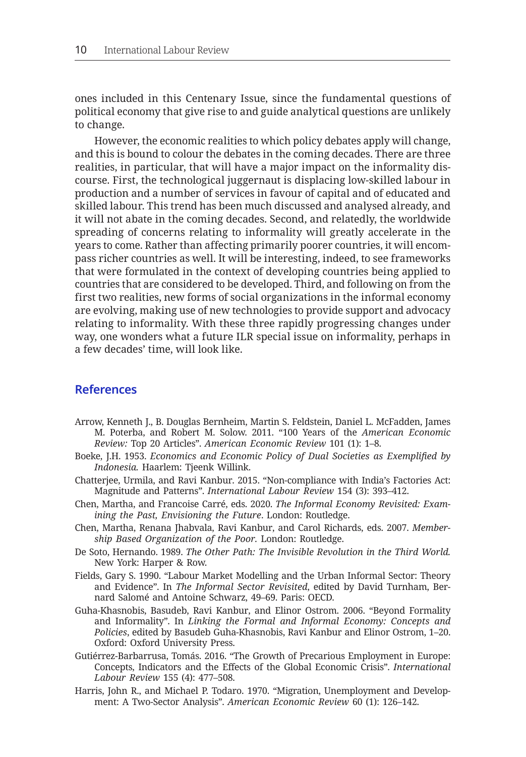ones included in this Centenary Issue, since the fundamental questions of political economy that give rise to and guide analytical questions are unlikely to change.

However, the economic realities to which policy debates apply will change, and this is bound to colour the debates in the coming decades. There are three realities, in particular, that will have a major impact on the informality discourse. First, the technological juggernaut is displacing low-skilled labour in production and a number of services in favour of capital and of educated and skilled labour. This trend has been much discussed and analysed already, and it will not abate in the coming decades. Second, and relatedly, the worldwide spreading of concerns relating to informality will greatly accelerate in the years to come. Rather than affecting primarily poorer countries, it will encompass richer countries as well. It will be interesting, indeed, to see frameworks that were formulated in the context of developing countries being applied to countries that are considered to be developed. Third, and following on from the first two realities, new forms of social organizations in the informal economy are evolving, making use of new technologies to provide support and advocacy relating to informality. With these three rapidly progressing changes under way, one wonders what a future ILR special issue on informality, perhaps in a few decades' time, will look like.

#### **References**

- Arrow, Kenneth J., B. Douglas Bernheim, Martin S. Feldstein, Daniel L. McFadden, James M. Poterba, and Robert M. Solow. 2011. "100 Years of the *American Economic Review:* Top 20 Articles". *American Economic Review* 101 (1): 1–8.
- Boeke, J.H. 1953. *Economics and Economic Policy of Dual Societies as Exemplified by Indonesia.* Haarlem: Tjeenk Willink.
- Chatterjee, Urmila, and Ravi Kanbur. 2015. "Non-compliance with India's Factories Act: Magnitude and Patterns". *International Labour Review* 154 (3): 393–412.
- Chen, Martha, and Francoise Carré, eds. 2020. *The Informal Economy Revisited: Examining the Past, Envisioning the Future*. London: Routledge.
- Chen, Martha, Renana Jhabvala, Ravi Kanbur, and Carol Richards, eds. 2007. *Membership Based Organization of the Poor.* London: Routledge.
- De Soto, Hernando. 1989. *The Other Path: The Invisible Revolution in the Third World.* New York: Harper & Row.
- Fields, Gary S. 1990. "Labour Market Modelling and the Urban Informal Sector: Theory and Evidence". In *The Informal Sector Revisited*, edited by David Turnham, Bernard Salomé and Antoine Schwarz, 49–69. Paris: OECD.
- Guha-Khasnobis, Basudeb, Ravi Kanbur, and Elinor Ostrom. 2006. "Beyond Formality and Informality". In *Linking the Formal and Informal Economy: Concepts and Policies*, edited by Basudeb Guha-Khasnobis, Ravi Kanbur and Elinor Ostrom, 1–20. Oxford: Oxford University Press.
- Gutiérrez-Barbarrusa, Tomás. 2016. "The Growth of Precarious Employment in Europe: Concepts, Indicators and the Effects of the Global Economic Crisis". *International Labour Review* 155 (4): 477–508.
- Harris, John R., and Michael P. Todaro. 1970. "Migration, Unemployment and Development: A Two-Sector Analysis". *American Economic Review* 60 (1): 126–142.